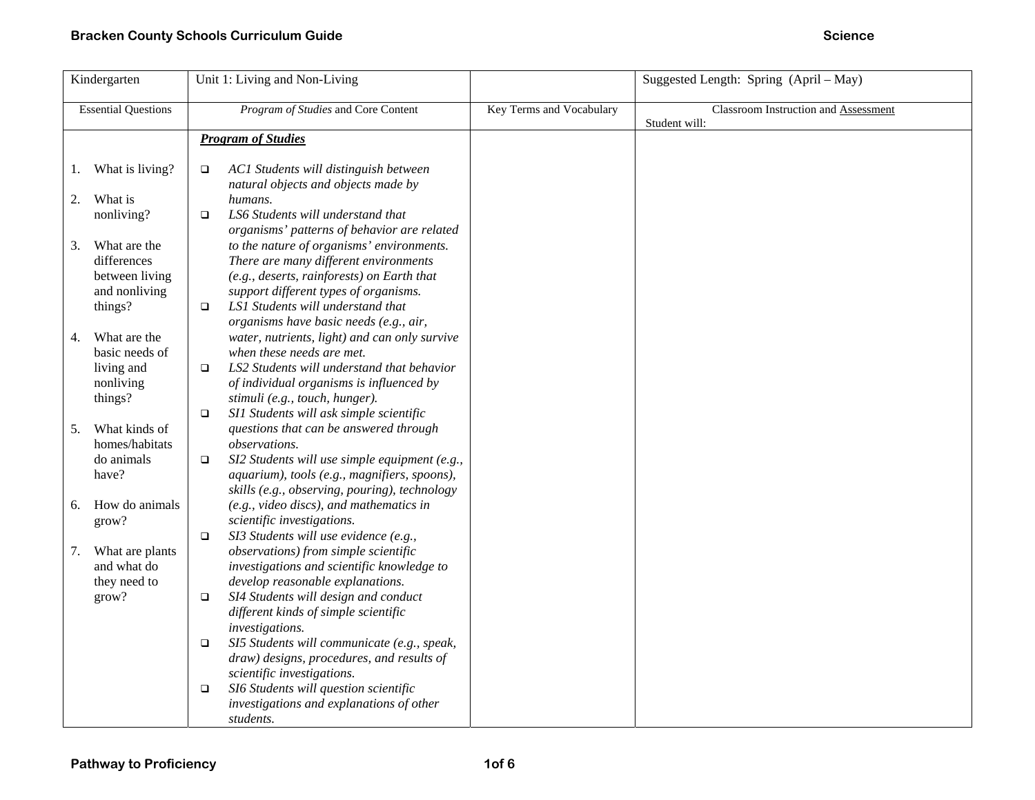| Kindergarten               |                    |                                     | Unit 1: Living and Non-Living                                                     |                          | Suggested Length: Spring (April – May)                |
|----------------------------|--------------------|-------------------------------------|-----------------------------------------------------------------------------------|--------------------------|-------------------------------------------------------|
| <b>Essential Questions</b> |                    | Program of Studies and Core Content |                                                                                   | Key Terms and Vocabulary | Classroom Instruction and Assessment<br>Student will: |
|                            |                    | <b>Program of Studies</b>           |                                                                                   |                          |                                                       |
|                            |                    |                                     |                                                                                   |                          |                                                       |
|                            | 1. What is living? | $\Box$                              | AC1 Students will distinguish between<br>natural objects and objects made by      |                          |                                                       |
| 2.                         | What is            |                                     | humans.                                                                           |                          |                                                       |
|                            | nonliving?         | $\Box$                              | LS6 Students will understand that                                                 |                          |                                                       |
|                            |                    |                                     | organisms' patterns of behavior are related                                       |                          |                                                       |
| 3.                         | What are the       |                                     | to the nature of organisms' environments.                                         |                          |                                                       |
|                            | differences        |                                     | There are many different environments                                             |                          |                                                       |
|                            | between living     |                                     | (e.g., deserts, rainforests) on Earth that                                        |                          |                                                       |
|                            | and nonliving      |                                     | support different types of organisms.                                             |                          |                                                       |
|                            | things?            | $\Box$                              | LS1 Students will understand that                                                 |                          |                                                       |
|                            |                    |                                     | organisms have basic needs (e.g., air,                                            |                          |                                                       |
| 4.                         | What are the       |                                     | water, nutrients, light) and can only survive                                     |                          |                                                       |
|                            | basic needs of     |                                     | when these needs are met.                                                         |                          |                                                       |
|                            | living and         | $\Box$                              | LS2 Students will understand that behavior                                        |                          |                                                       |
|                            | nonliving          |                                     | of individual organisms is influenced by                                          |                          |                                                       |
|                            | things?            | $\Box$                              | stimuli (e.g., touch, hunger).<br>SI1 Students will ask simple scientific         |                          |                                                       |
| 5.                         | What kinds of      |                                     | questions that can be answered through                                            |                          |                                                       |
|                            | homes/habitats     |                                     | observations.                                                                     |                          |                                                       |
|                            | do animals         | $\Box$                              | SI2 Students will use simple equipment (e.g.,                                     |                          |                                                       |
|                            | have?              |                                     | aquarium), tools (e.g., magnifiers, spoons),                                      |                          |                                                       |
|                            |                    |                                     | skills (e.g., observing, pouring), technology                                     |                          |                                                       |
| 6.                         | How do animals     |                                     | (e.g., video discs), and mathematics in                                           |                          |                                                       |
|                            | grow?              |                                     | scientific investigations.                                                        |                          |                                                       |
|                            |                    | $\Box$                              | SI3 Students will use evidence (e.g.,                                             |                          |                                                       |
| 7.                         | What are plants    |                                     | observations) from simple scientific                                              |                          |                                                       |
|                            | and what do        |                                     | investigations and scientific knowledge to                                        |                          |                                                       |
|                            | they need to       |                                     | develop reasonable explanations.                                                  |                          |                                                       |
|                            | grow?              | $\Box$                              | SI4 Students will design and conduct                                              |                          |                                                       |
|                            |                    |                                     | different kinds of simple scientific                                              |                          |                                                       |
|                            |                    |                                     | investigations.                                                                   |                          |                                                       |
|                            |                    | $\Box$                              | SI5 Students will communicate (e.g., speak,                                       |                          |                                                       |
|                            |                    |                                     | draw) designs, procedures, and results of                                         |                          |                                                       |
|                            |                    |                                     | scientific investigations.                                                        |                          |                                                       |
|                            |                    | $\Box$                              | SI6 Students will question scientific<br>investigations and explanations of other |                          |                                                       |
|                            |                    |                                     | students.                                                                         |                          |                                                       |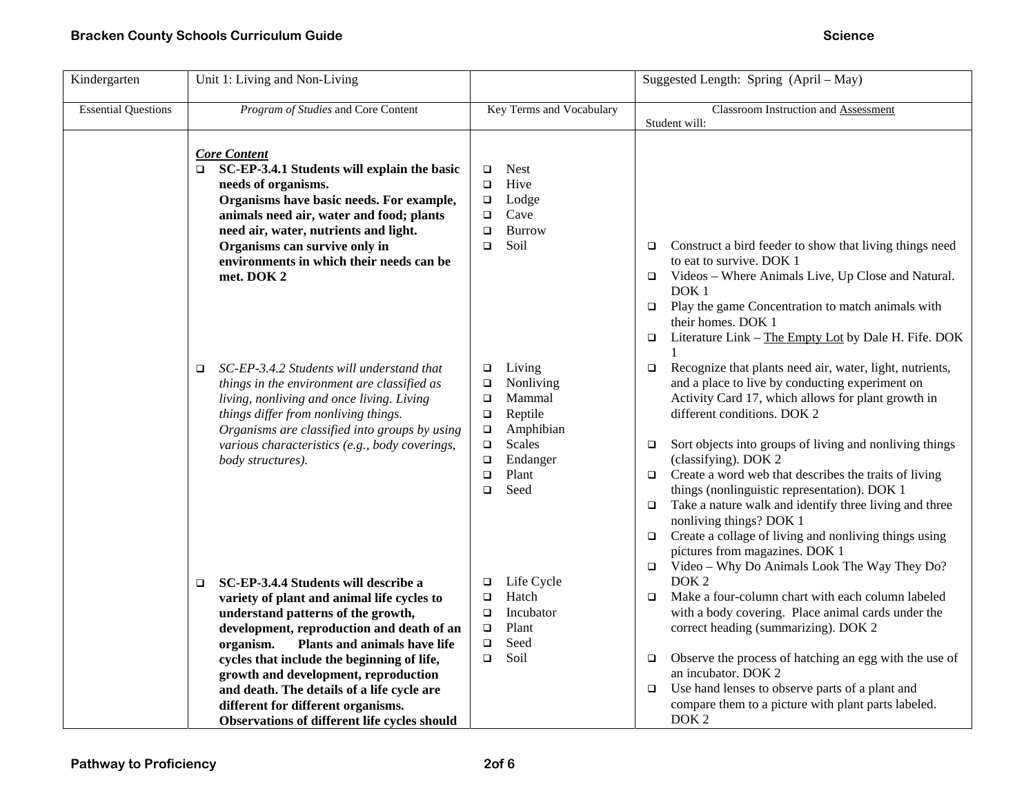| Kindergarten               | Unit 1: Living and Non-Living                                                                                                                                                                                                                                                                                                                                                                                                                          |                                                                                                                                                                                               | Suggested Length: Spring (April - May)                                                                                                                                                                                                                                                                                                                                                                                                                                                                                                                                                                                                                                           |  |  |  |
|----------------------------|--------------------------------------------------------------------------------------------------------------------------------------------------------------------------------------------------------------------------------------------------------------------------------------------------------------------------------------------------------------------------------------------------------------------------------------------------------|-----------------------------------------------------------------------------------------------------------------------------------------------------------------------------------------------|----------------------------------------------------------------------------------------------------------------------------------------------------------------------------------------------------------------------------------------------------------------------------------------------------------------------------------------------------------------------------------------------------------------------------------------------------------------------------------------------------------------------------------------------------------------------------------------------------------------------------------------------------------------------------------|--|--|--|
| <b>Essential Questions</b> | Program of Studies and Core Content                                                                                                                                                                                                                                                                                                                                                                                                                    | Key Terms and Vocabulary                                                                                                                                                                      | Classroom Instruction and Assessment<br>Student will:                                                                                                                                                                                                                                                                                                                                                                                                                                                                                                                                                                                                                            |  |  |  |
|                            | <b>Core Content</b><br>SC-EP-3.4.1 Students will explain the basic<br>$\Box$<br>needs of organisms.<br>Organisms have basic needs. For example,<br>animals need air, water and food; plants<br>need air, water, nutrients and light.<br>Organisms can survive only in<br>environments in which their needs can be<br>met. DOK 2                                                                                                                        | <b>Nest</b><br>$\Box$<br>Hive<br>$\Box$<br>Lodge<br>$\Box$<br>Cave<br>$\Box$<br><b>Burrow</b><br>$\Box$<br>Soil<br>$\Box$                                                                     | Construct a bird feeder to show that living things need<br>$\Box$<br>to eat to survive. DOK 1<br>Videos – Where Animals Live, Up Close and Natural.<br>$\Box$<br>DOK <sub>1</sub><br>Play the game Concentration to match animals with<br>$\Box$<br>their homes. DOK 1<br>$\Box$ Literature Link – The Empty Lot by Dale H. Fife. DOK                                                                                                                                                                                                                                                                                                                                            |  |  |  |
|                            | SC-EP-3.4.2 Students will understand that<br>$\Box$<br>things in the environment are classified as<br>living, nonliving and once living. Living<br>things differ from nonliving things.<br>Organisms are classified into groups by using<br>various characteristics (e.g., body coverings,<br>body structures).                                                                                                                                        | Living<br>$\Box$<br>Nonliving<br>$\Box$<br>Mammal<br>$\Box$<br>Reptile<br>$\Box$<br>Amphibian<br>$\Box$<br><b>Scales</b><br>$\Box$<br>Endanger<br>$\Box$<br>Plant<br>$\Box$<br>Seed<br>$\Box$ | Recognize that plants need air, water, light, nutrients,<br>$\Box$<br>and a place to live by conducting experiment on<br>Activity Card 17, which allows for plant growth in<br>different conditions. DOK 2<br>Sort objects into groups of living and nonliving things<br>□<br>(classifying). DOK 2<br>Create a word web that describes the traits of living<br>$\Box$<br>things (nonlinguistic representation). DOK 1<br>Take a nature walk and identify three living and three<br>$\Box$<br>nonliving things? DOK 1<br>Create a collage of living and nonliving things using<br>$\Box$<br>pictures from magazines. DOK 1<br>$\Box$ Video - Why Do Animals Look The Way They Do? |  |  |  |
|                            | SC-EP-3.4.4 Students will describe a<br>$\Box$<br>variety of plant and animal life cycles to<br>understand patterns of the growth,<br>development, reproduction and death of an<br>Plants and animals have life<br>organism.<br>cycles that include the beginning of life,<br>growth and development, reproduction<br>and death. The details of a life cycle are<br>different for different organisms.<br>Observations of different life cycles should | Life Cycle<br>$\Box$<br>Hatch<br>▫<br>Incubator<br>$\Box$<br>Plant<br>$\Box$<br>Seed<br>$\Box$<br>Soil<br>$\Box$                                                                              | DOK <sub>2</sub><br>Make a four-column chart with each column labeled<br>▫<br>with a body covering. Place animal cards under the<br>correct heading (summarizing). DOK 2<br>Observe the process of hatching an egg with the use of<br>□<br>an incubator. DOK 2<br>Use hand lenses to observe parts of a plant and<br>$\Box$<br>compare them to a picture with plant parts labeled.<br>DOK <sub>2</sub>                                                                                                                                                                                                                                                                           |  |  |  |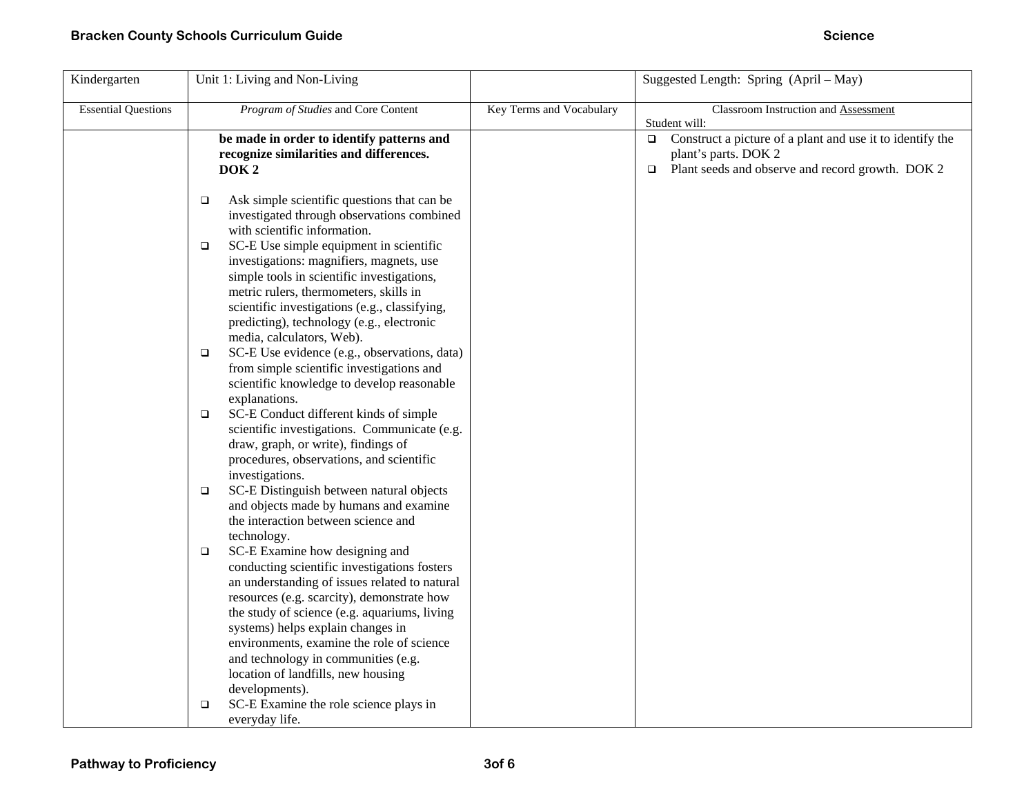| Kindergarten               | Unit 1: Living and Non-Living                                                                                                                                                                                                                                                                                                                                                                                                                                                                                                                                                                                                                                                                                                                                                                                                                                                                                                                                                                                                                                                                                                                                                                                                                                                                                                                                                                                                                                                              |                          | Suggested Length: Spring (April – May)                                                                                                                                                                       |
|----------------------------|--------------------------------------------------------------------------------------------------------------------------------------------------------------------------------------------------------------------------------------------------------------------------------------------------------------------------------------------------------------------------------------------------------------------------------------------------------------------------------------------------------------------------------------------------------------------------------------------------------------------------------------------------------------------------------------------------------------------------------------------------------------------------------------------------------------------------------------------------------------------------------------------------------------------------------------------------------------------------------------------------------------------------------------------------------------------------------------------------------------------------------------------------------------------------------------------------------------------------------------------------------------------------------------------------------------------------------------------------------------------------------------------------------------------------------------------------------------------------------------------|--------------------------|--------------------------------------------------------------------------------------------------------------------------------------------------------------------------------------------------------------|
| <b>Essential Questions</b> | Program of Studies and Core Content<br>be made in order to identify patterns and<br>recognize similarities and differences.<br>DOK <sub>2</sub>                                                                                                                                                                                                                                                                                                                                                                                                                                                                                                                                                                                                                                                                                                                                                                                                                                                                                                                                                                                                                                                                                                                                                                                                                                                                                                                                            | Key Terms and Vocabulary | Classroom Instruction and Assessment<br>Student will:<br>$\Box$ Construct a picture of a plant and use it to identify the<br>plant's parts. DOK 2<br>$\Box$ Plant seeds and observe and record growth. DOK 2 |
|                            | Ask simple scientific questions that can be<br>$\Box$<br>investigated through observations combined<br>with scientific information.<br>SC-E Use simple equipment in scientific<br>$\Box$<br>investigations: magnifiers, magnets, use<br>simple tools in scientific investigations,<br>metric rulers, thermometers, skills in<br>scientific investigations (e.g., classifying,<br>predicting), technology (e.g., electronic<br>media, calculators, Web).<br>SC-E Use evidence (e.g., observations, data)<br>$\Box$<br>from simple scientific investigations and<br>scientific knowledge to develop reasonable<br>explanations.<br>SC-E Conduct different kinds of simple<br>$\Box$<br>scientific investigations. Communicate (e.g.<br>draw, graph, or write), findings of<br>procedures, observations, and scientific<br>investigations.<br>SC-E Distinguish between natural objects<br>$\Box$<br>and objects made by humans and examine<br>the interaction between science and<br>technology.<br>SC-E Examine how designing and<br>$\Box$<br>conducting scientific investigations fosters<br>an understanding of issues related to natural<br>resources (e.g. scarcity), demonstrate how<br>the study of science (e.g. aquariums, living<br>systems) helps explain changes in<br>environments, examine the role of science<br>and technology in communities (e.g.<br>location of landfills, new housing<br>developments).<br>SC-E Examine the role science plays in<br>▫<br>everyday life. |                          |                                                                                                                                                                                                              |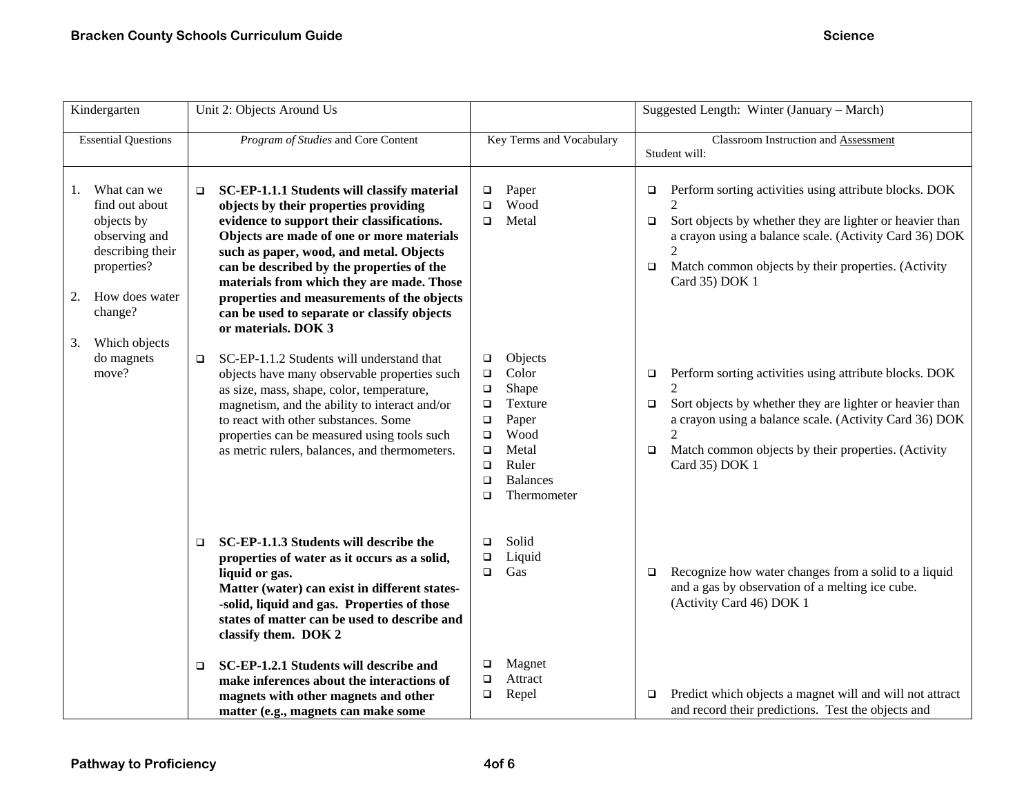| Kindergarten                                                                                                                                                    | Unit 2: Objects Around Us                                                                                                                                                                                                                                                                                                                                                                                                                      |                                                                                                                                                                                                          | Suggested Length: Winter (January – March)                                                                                                                                                                                                                                                                                           |
|-----------------------------------------------------------------------------------------------------------------------------------------------------------------|------------------------------------------------------------------------------------------------------------------------------------------------------------------------------------------------------------------------------------------------------------------------------------------------------------------------------------------------------------------------------------------------------------------------------------------------|----------------------------------------------------------------------------------------------------------------------------------------------------------------------------------------------------------|--------------------------------------------------------------------------------------------------------------------------------------------------------------------------------------------------------------------------------------------------------------------------------------------------------------------------------------|
| <b>Essential Questions</b>                                                                                                                                      | Program of Studies and Core Content                                                                                                                                                                                                                                                                                                                                                                                                            | Key Terms and Vocabulary                                                                                                                                                                                 | Classroom Instruction and Assessment<br>Student will:                                                                                                                                                                                                                                                                                |
| What can we<br>1.<br>find out about<br>objects by<br>observing and<br>describing their<br>properties?<br>How does water<br>2.<br>change?<br>3.<br>Which objects | SC-EP-1.1.1 Students will classify material<br>O,<br>objects by their properties providing<br>evidence to support their classifications.<br>Objects are made of one or more materials<br>such as paper, wood, and metal. Objects<br>can be described by the properties of the<br>materials from which they are made. Those<br>properties and measurements of the objects<br>can be used to separate or classify objects<br>or materials. DOK 3 | Paper<br>$\Box$<br>Wood<br>$\Box$<br>Metal<br>$\Box$                                                                                                                                                     | Perform sorting activities using attribute blocks. DOK<br>□<br>$\overline{2}$<br>Sort objects by whether they are lighter or heavier than<br>$\Box$<br>a crayon using a balance scale. (Activity Card 36) DOK<br>$\mathfrak{D}$<br>Match common objects by their properties. (Activity<br>$\Box$<br>Card 35) DOK 1                   |
| do magnets<br>move?                                                                                                                                             | SC-EP-1.1.2 Students will understand that<br>O.<br>objects have many observable properties such<br>as size, mass, shape, color, temperature,<br>magnetism, and the ability to interact and/or<br>to react with other substances. Some<br>properties can be measured using tools such<br>as metric rulers, balances, and thermometers.                                                                                                          | Objects<br>□<br>Color<br>$\Box$<br>Shape<br>$\Box$<br>Texture<br>$\Box$<br>Paper<br>$\Box$<br>Wood<br>$\Box$<br>Metal<br>$\Box$<br>Ruler<br>$\Box$<br><b>Balances</b><br>$\Box$<br>Thermometer<br>$\Box$ | Perform sorting activities using attribute blocks. DOK<br>$\Box$<br>$\mathfrak{D}$<br>Sort objects by whether they are lighter or heavier than<br>$\Box$<br>a crayon using a balance scale. (Activity Card 36) DOK<br>$\mathcal{D}_{\mathcal{L}}$<br>Match common objects by their properties. (Activity<br>$\Box$<br>Card 35) DOK 1 |
|                                                                                                                                                                 | SC-EP-1.1.3 Students will describe the<br>$\Box$<br>properties of water as it occurs as a solid,<br>liquid or gas.<br>Matter (water) can exist in different states-<br>-solid, liquid and gas. Properties of those<br>states of matter can be used to describe and<br>classify them. DOK 2                                                                                                                                                     | Solid<br>$\Box$<br>Liquid<br>$\Box$<br>Gas<br>$\Box$                                                                                                                                                     | Recognize how water changes from a solid to a liquid<br>$\Box$<br>and a gas by observation of a melting ice cube.<br>(Activity Card 46) DOK 1                                                                                                                                                                                        |
|                                                                                                                                                                 | SC-EP-1.2.1 Students will describe and<br>❏<br>make inferences about the interactions of<br>magnets with other magnets and other<br>matter (e.g., magnets can make some                                                                                                                                                                                                                                                                        | Magnet<br>□<br>Attract<br>$\Box$<br>Repel<br>$\Box$                                                                                                                                                      | Predict which objects a magnet will and will not attract<br>$\Box$<br>and record their predictions. Test the objects and                                                                                                                                                                                                             |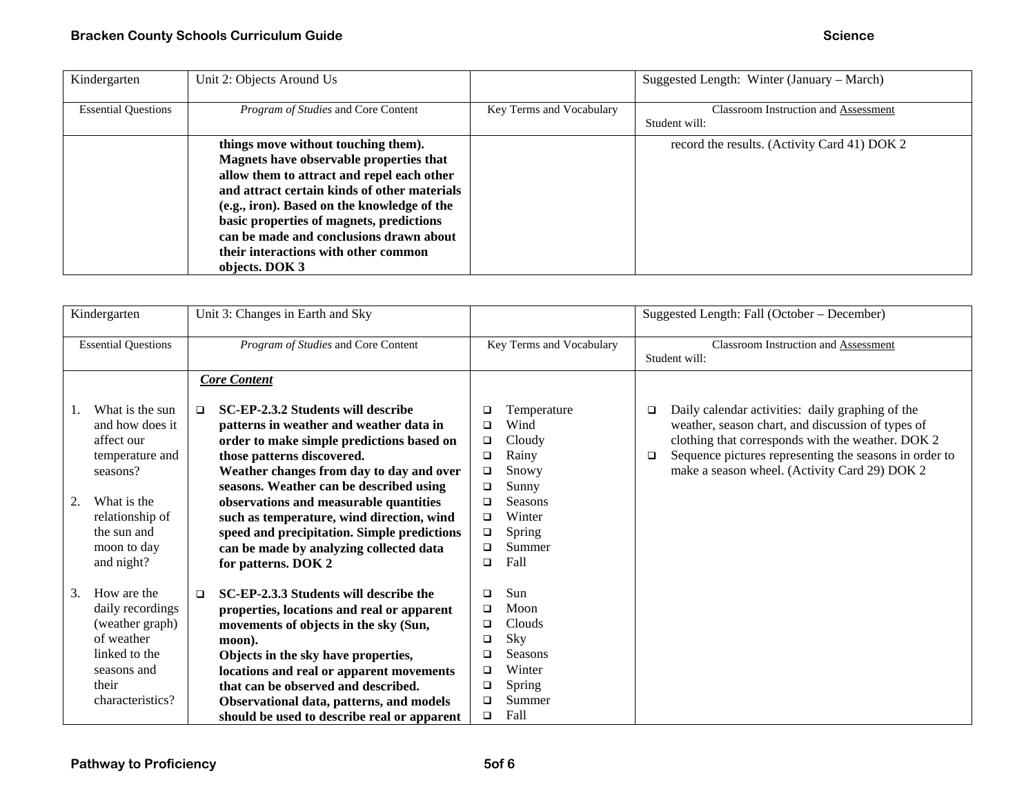| Kindergarten               | Unit 2: Objects Around Us                                                                                                                                                                                                                                                                                                                                                    |                          | Suggested Length: Winter (January – March)                   |
|----------------------------|------------------------------------------------------------------------------------------------------------------------------------------------------------------------------------------------------------------------------------------------------------------------------------------------------------------------------------------------------------------------------|--------------------------|--------------------------------------------------------------|
| <b>Essential Questions</b> | Program of Studies and Core Content                                                                                                                                                                                                                                                                                                                                          | Key Terms and Vocabulary | <b>Classroom Instruction and Assessment</b><br>Student will: |
|                            | things move without touching them).<br>Magnets have observable properties that<br>allow them to attract and repel each other<br>and attract certain kinds of other materials<br>(e.g., iron). Based on the knowledge of the<br>basic properties of magnets, predictions<br>can be made and conclusions drawn about<br>their interactions with other common<br>objects. DOK 3 |                          | record the results. (Activity Card 41) DOK 2                 |

| Kindergarten                                                                                                                                                        |  | Unit 3: Changes in Earth and Sky                                                                                                                                                                                                                                                                                                                                                                                                                                  |                                                                              |                                                                                                                  | Suggested Length: Fall (October – December)                                                                                                                                                                                                                                     |
|---------------------------------------------------------------------------------------------------------------------------------------------------------------------|--|-------------------------------------------------------------------------------------------------------------------------------------------------------------------------------------------------------------------------------------------------------------------------------------------------------------------------------------------------------------------------------------------------------------------------------------------------------------------|------------------------------------------------------------------------------|------------------------------------------------------------------------------------------------------------------|---------------------------------------------------------------------------------------------------------------------------------------------------------------------------------------------------------------------------------------------------------------------------------|
| <b>Essential Questions</b>                                                                                                                                          |  | Program of Studies and Core Content                                                                                                                                                                                                                                                                                                                                                                                                                               |                                                                              | Key Terms and Vocabulary                                                                                         | Classroom Instruction and Assessment<br>Student will:                                                                                                                                                                                                                           |
|                                                                                                                                                                     |  | <b>Core Content</b>                                                                                                                                                                                                                                                                                                                                                                                                                                               |                                                                              |                                                                                                                  |                                                                                                                                                                                                                                                                                 |
| What is the sun<br>and how does it<br>affect our<br>temperature and<br>seasons?<br>2.<br>What is the<br>relationship of<br>the sun and<br>moon to day<br>and night? |  | SC-EP-2.3.2 Students will describe<br>$\Box$<br>patterns in weather and weather data in<br>order to make simple predictions based on<br>those patterns discovered.<br>Weather changes from day to day and over<br>seasons. Weather can be described using<br>observations and measurable quantities<br>such as temperature, wind direction, wind<br>speed and precipitation. Simple predictions<br>can be made by analyzing collected data<br>for patterns. DOK 2 | □<br>$\Box$<br>□<br>□<br>□<br>$\Box$<br>□<br>$\Box$<br>$\Box$<br>◻<br>$\Box$ | Temperature<br>Wind<br>Cloudy<br>Rainy<br>Snowy<br>Sunny<br><b>Seasons</b><br>Winter<br>Spring<br>Summer<br>Fall | Daily calendar activities: daily graphing of the<br>□<br>weather, season chart, and discussion of types of<br>clothing that corresponds with the weather. DOK 2<br>Sequence pictures representing the seasons in order to<br>□<br>make a season wheel. (Activity Card 29) DOK 2 |
| How are the<br>3.<br>daily recordings<br>(weather graph)<br>of weather<br>linked to the<br>seasons and<br>their<br>characteristics?                                 |  | SC-EP-2.3.3 Students will describe the<br>$\Box$<br>properties, locations and real or apparent<br>movements of objects in the sky (Sun,<br>moon).<br>Objects in the sky have properties,<br>locations and real or apparent movements<br>that can be observed and described.<br>Observational data, patterns, and models<br>should be used to describe real or apparent                                                                                            | ◻<br>$\Box$<br>□<br>□<br>□<br>$\Box$<br>$\Box$<br>□<br>$\Box$                | Sun<br>Moon<br>Clouds<br>Sky<br><b>Seasons</b><br>Winter<br>Spring<br>Summer<br>Fall                             |                                                                                                                                                                                                                                                                                 |